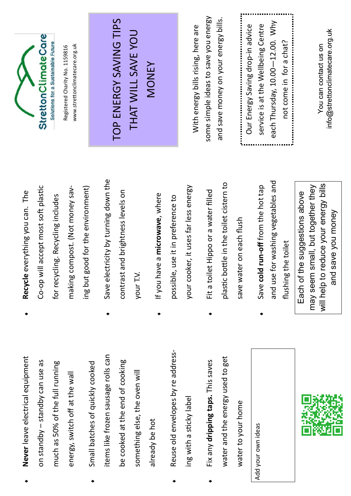**Never** leave electrical equipment Never leave electrical equipment on standby - standby can use as on standby – standby can use as much as 50% of the full running much as 50% of the full running energy, switch off at the wall energy, switch off at the wall

 $\bullet$ 

 $\bullet$ 

items like frozen sausage rolls can tems like frozen sausage rolls can be cooked at the end of cooking be cooked at the end of cooking Small batches of quickly cooked Small batches of quickly cooked something else, the oven will something else, the oven will already be hot already be hot

 $\bullet$ 

- Reuse old envelopes by readdress-Reuse old envelopes by readdressing with a sticky label ing with a stcky label  $\bullet$
- water and the energy used to get water and the energy used to get Fix any **dripping taps.** This saves Fix any dripping taps. This saves water to your home water to your home  $\bullet$

Add your own ideas Add your own ideas



- Co-op will accept most soft plastic Co-op will accept most soft plastic making compost. (Not money saving but good for the environment) making compost. (Not money saving but good for the environment) **Recycle** everything you can. The Recycle everything you can. The for recycling. Recycling includes for recycling. Recycling includes
- $\leftrightarrow$  Save electricity by turning down the Save electricity by turning down the contrast and brightness levels on contrast and brightness levels on your T.V.  $\bullet$
- your cooker, it uses far less energy your cooker, it uses far less energy If you have a **microwave**, where If you have a microwave, where possible, use it in preference to possible, use it in preference to  $\bullet$
- plastc botle in the toilet cistern to plastic bottle in the toilet cistern to Fit a toilet Hippo or a water flled Fit a toilet Hippo or a water filled save water on each flush save water on each fush  $\bullet$
- and use for washing vegetables and and use for washing vegetables and Save **cold run-of** from the hot tap Save cold run-off from the hot tap flushing the toilet fushing the toilet  $\bullet$

will help to reduce your energy bills may seem small, but together they will help to reduce your energy bills may seem small, but together they Each of the suggestions above Each of the suggestions above and save you money and save you money



www.strettonclimatecare.org.uk Registered Charity No. 1159816 www.stretonclimatecare.org.ukRegistered Charity No. 1159816

## TOP ENERGY SAVING TIPS TOP ENERGY SAVING TIPS THAT WILL SAVE YOU THAT WILL SAVE YOU MONEY

some simple ideas to save you energy some simple ideas to save you energy and save money on your energy bills. and save money on your energy bills. With energy bills rising, here are With energy bills rising, here are

each Thursday, 10.00-12.00. Why each Thursday, 10.00—12.00. Why service is at the Wellbeing Centre service is at the Wellbeing Centre Our Energy Saving drop-in advice Our Energy Saving drop-in advice not come in for a chat? not come in for a chat? 

info@strettonclimatecare.org.uk You can contact us on